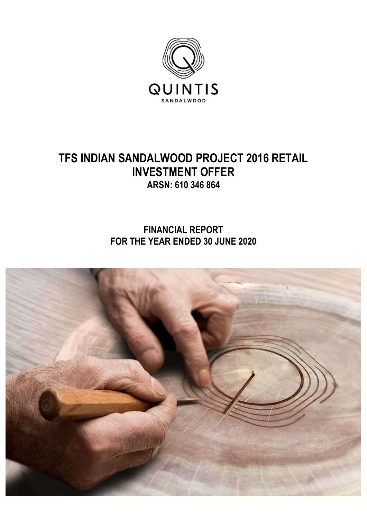

# **TFS INDIAN SANDALWOOD PROJECT 2016 RETAIL INVESTMENT OFFER ARSN: 610 346 864**

**FINANCIAL REPORT FOR THE YEAR ENDED 30 JUNE 2020**

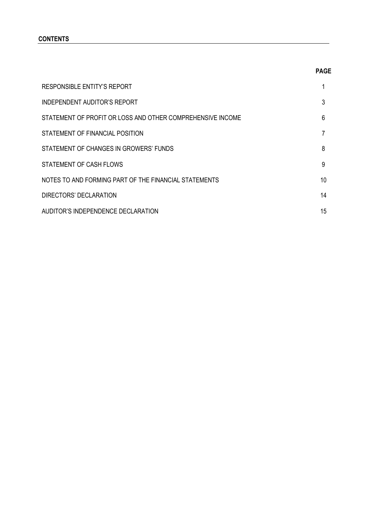## **CONTENTS**

| <b>RESPONSIBLE ENTITY'S REPORT</b>                         |    |
|------------------------------------------------------------|----|
| INDEPENDENT AUDITOR'S REPORT                               | 3  |
| STATEMENT OF PROFIT OR LOSS AND OTHER COMPREHENSIVE INCOME | 6  |
| STATEMENT OF FINANCIAL POSITION                            | 7  |
| STATEMENT OF CHANGES IN GROWERS' FUNDS                     | 8  |
| STATEMENT OF CASH FLOWS                                    | 9  |
| NOTES TO AND FORMING PART OF THE FINANCIAL STATEMENTS      | 10 |
| DIRECTORS' DECLARATION                                     | 14 |
| AUDITOR'S INDEPENDENCE DECLARATION                         | 15 |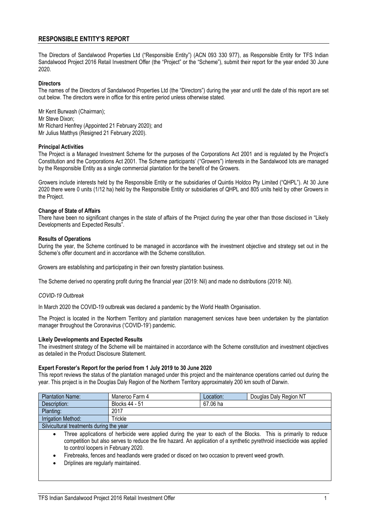## **RESPONSIBLE ENTITY'S REPORT**

The Directors of Sandalwood Properties Ltd ("Responsible Entity") (ACN 093 330 977), as Responsible Entity for TFS Indian Sandalwood Project 2016 Retail Investment Offer (the "Project" or the "Scheme"), submit their report for the year ended 30 June 2020.

#### **Directors**

The names of the Directors of Sandalwood Properties Ltd (the "Directors") during the year and until the date of this report are set out below. The directors were in office for this entire period unless otherwise stated.

Mr Kent Burwash (Chairman); Mr Steve Dixon; Mr Richard Henfrey (Appointed 21 February 2020); and Mr Julius Matthys (Resigned 21 February 2020).

#### **Principal Activities**

The Project is a Managed Investment Scheme for the purposes of the Corporations Act 2001 and is regulated by the Project's Constitution and the Corporations Act 2001. The Scheme participants' ("Growers") interests in the Sandalwood lots are managed by the Responsible Entity as a single commercial plantation for the benefit of the Growers.

Growers include interests held by the Responsible Entity or the subsidiaries of Quintis Holdco Pty Limited ("QHPL"). At 30 June 2020 there were 0 units (1/12 ha) held by the Responsible Entity or subsidiaries of QHPL and 805 units held by other Growers in the Project.

#### **Change of State of Affairs**

There have been no significant changes in the state of affairs of the Project during the year other than those disclosed in "Likely Developments and Expected Results".

#### **Results of Operations**

During the year, the Scheme continued to be managed in accordance with the investment objective and strategy set out in the Scheme's offer document and in accordance with the Scheme constitution.

Growers are establishing and participating in their own forestry plantation business.

The Scheme derived no operating profit during the financial year (2019: Nil) and made no distributions (2019: Nil).

#### *COVID-19 Outbreak*

In March 2020 the COVID-19 outbreak was declared a pandemic by the World Health Organisation.

The Project is located in the Northern Territory and plantation management services have been undertaken by the plantation manager throughout the Coronavirus ('COVID-19') pandemic.

#### **Likely Developments and Expected Results**

The investment strategy of the Scheme will be maintained in accordance with the Scheme constitution and investment objectives as detailed in the Product Disclosure Statement.

#### **Expert Forester's Report for the period from 1 July 2019 to 30 June 2020**

This report reviews the status of the plantation managed under this project and the maintenance operations carried out during the year. This project is in the Douglas Daly Region of the Northern Territory approximately 200 km south of Darwin.

| <b>Plantation Name:</b>                  | Maneroo Farm 4                                                                                                  | Location: | Douglas Daly Region NT |
|------------------------------------------|-----------------------------------------------------------------------------------------------------------------|-----------|------------------------|
| Description:                             | Blocks 44 - 51                                                                                                  | 67.06 ha  |                        |
| Planting:                                | 2017                                                                                                            |           |                        |
| Irrigation Method:                       | Trickle                                                                                                         |           |                        |
| Silvicultural treatments during the year |                                                                                                                 |           |                        |
|                                          | Three applications of herbicide were applied during the year to each of the Blocks. This is primarily to reduce |           |                        |

- competition but also serves to reduce the fire hazard. An application of a synthetic pyrethroid insecticide was applied to control loopers in February 2020.
- Firebreaks, fences and headlands were graded or disced on two occasion to prevent weed growth.
- Driplines are regularly maintained.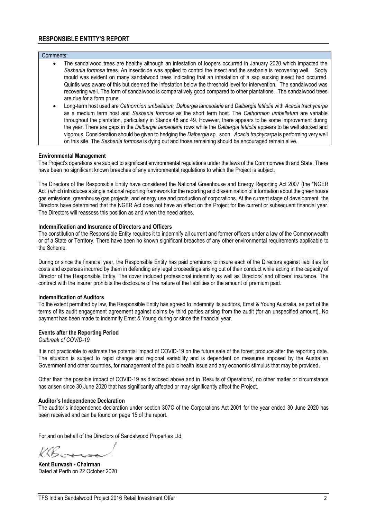## **RESPONSIBLE ENTITY'S REPORT**

| Comments: |                                                                                                                                                                                                                                                                                                                                                                                                                                                                                                                                                                                                                                                                                                                      |
|-----------|----------------------------------------------------------------------------------------------------------------------------------------------------------------------------------------------------------------------------------------------------------------------------------------------------------------------------------------------------------------------------------------------------------------------------------------------------------------------------------------------------------------------------------------------------------------------------------------------------------------------------------------------------------------------------------------------------------------------|
| $\bullet$ | The sandalwood trees are healthy although an infestation of loopers occurred in January 2020 which impacted the<br>Sesbania formosa trees. An insecticide was applied to control the insect and the sesbania is recovering well. Sooty<br>mould was evident on many sandalwood trees indicating that an infestation of a sap sucking insect had occurred.<br>Quintis was aware of this but deemed the infestation below the threshold level for intervention. The sandalwood was<br>recovering well. The form of sandalwood is comparatively good compared to other plantations. The sandalwood trees<br>are due for a form prune.                                                                                   |
| ٠         | Long-term host used are Cathormion umbellatum, Dalbergia lanceolaria and Dalbergia latifolia with Acacia trachycarpa<br>as a medium term host and Sesbania formosa as the short term host. The Cathormion umbellatum are variable<br>throughout the plantation, particularly in Stands 48 and 49. However, there appears to be some improvement during<br>the year. There are gaps in the Dalbergia lanceolaria rows while the Dalbergia latifolia appears to be well stocked and<br>vigorous. Consideration should be given to hedging the Dalbergia sp. soon. Acacia trachycarpa is performing very well<br>on this site. The Sesbania formosa is dying out and those remaining should be encouraged remain alive. |

#### **Environmental Management**

The Project's operations are subject to significant environmental regulations under the laws of the Commonwealth and State. There have been no significant known breaches of any environmental regulations to which the Project is subject.

The Directors of the Responsible Entity have considered the National Greenhouse and Energy Reporting Act 2007 (the "NGER Act") which introduces a single national reporting framework for the reporting and dissemination of information about the greenhouse gas emissions, greenhouse gas projects, and energy use and production of corporations. At the current stage of development, the Directors have determined that the NGER Act does not have an effect on the Project for the current or subsequent financial year. The Directors will reassess this position as and when the need arises.

#### **Indemnification and Insurance of Directors and Officers**

The constitution of the Responsible Entity requires it to indemnify all current and former officers under a law of the Commonwealth or of a State or Territory. There have been no known significant breaches of any other environmental requirements applicable to the Scheme.

During or since the financial year, the Responsible Entity has paid premiums to insure each of the Directors against liabilities for costs and expenses incurred by them in defending any legal proceedings arising out of their conduct while acting in the capacity of Director of the Responsible Entity. The cover included professional indemnity as well as Directors' and officers' insurance. The contract with the insurer prohibits the disclosure of the nature of the liabilities or the amount of premium paid.

#### **Indemnification of Auditors**

To the extent permitted by law, the Responsible Entity has agreed to indemnify its auditors, Ernst & Young Australia, as part of the terms of its audit engagement agreement against claims by third parties arising from the audit (for an unspecified amount). No payment has been made to indemnify Ernst & Young during or since the financial year.

#### **Events after the Reporting Period**

*Outbreak of COVID-19*

It is not practicable to estimate the potential impact of COVID-19 on the future sale of the forest produce after the reporting date. The situation is subject to rapid change and regional variability and is dependent on measures imposed by the Australian Government and other countries, for management of the public health issue and any economic stimulus that may be provided**.**

Other than the possible impact of COVID-19 as disclosed above and in 'Results of Operations', no other matter or circumstance has arisen since 30 June 2020 that has significantly affected or may significantly affect the Project.

#### **Auditor's Independence Declaration**

The auditor's independence declaration under section 307C of the Corporations Act 2001 for the year ended 30 June 2020 has been received and can be found on page 15 of the report.

For and on behalf of the Directors of Sandalwood Properties Ltd:

KBorn

**Kent Burwash - Chairman** Dated at Perth on 22 October 2020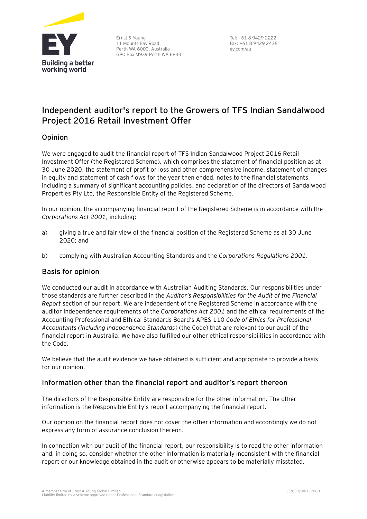

Ernst & Young 11 Mounts Bay Road Perth WA 6000, Australia GPO Box M939 Perth WA 6843

Tel: +61 8 9429 2222 Fax: +61 8 9429 2436 ey.com/au

## **Independent auditor's report to the Growers of TFS Indian Sandalwood Project 2016 Retail Investment Offer**

## Opinion

We were engaged to audit the financial report of TFS Indian Sandalwood Project 2016 Retail Investment Offer (the Registered Scheme), which comprises the statement of financial position as at 30 June 2020, the statement of profit or loss and other comprehensive income, statement of changes in equity and statement of cash flows for the year then ended, notes to the financial statements, including a summary of significant accounting policies, and declaration of the directors of Sandalwood Properties Pty Ltd, the Responsible Entity of the Registered Scheme.

In our opinion, the accompanying financial report of the Registered Scheme is in accordance with the *Corporations Act 2001*, including:

- a) giving a true and fair view of the financial position of the Registered Scheme as at 30 June 2020; and
- b) complying with Australian Accounting Standards and the *Corporations Regulations 2001*.

## Basis for opinion

We conducted our audit in accordance with Australian Auditing Standards. Our responsibilities under those standards are further described in the *Auditor's Responsibilities for the Audit of the Financial Report* section of our report. We are independent of the Registered Scheme in accordance with the auditor independence requirements of the *Corporations Act 2001* and the ethical requirements of the Accounting Professional and Ethical Standards Board's APES 110 *Code of Ethics for Professional Accountants (including Independence Standards)* (the Code) that are relevant to our audit of the financial report in Australia. We have also fulfilled our other ethical responsibilities in accordance with the Code.

We believe that the audit evidence we have obtained is sufficient and appropriate to provide a basis for our opinion.

## Information other than the financial report and auditor's report thereon

The directors of the Responsible Entity are responsible for the other information. The other information is the Responsible Entity's report accompanying the financial report.

Our opinion on the financial report does not cover the other information and accordingly we do not express any form of assurance conclusion thereon.

In connection with our audit of the financial report, our responsibility is to read the other information and, in doing so, consider whether the other information is materially inconsistent with the financial report or our knowledge obtained in the audit or otherwise appears to be materially misstated.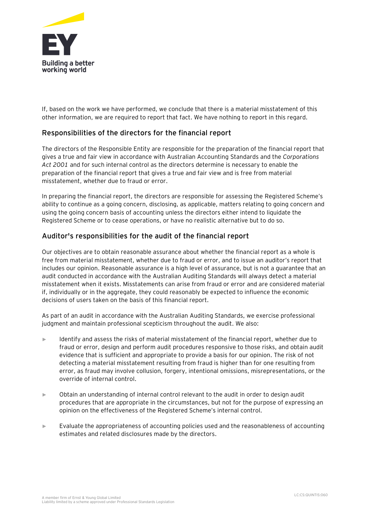

If, based on the work we have performed, we conclude that there is a material misstatement of this other information, we are required to report that fact. We have nothing to report in this regard.

## Responsibilities of the directors for the financial report

The directors of the Responsible Entity are responsible for the preparation of the financial report that gives a true and fair view in accordance with Australian Accounting Standards and the *Corporations Act 2001* and for such internal control as the directors determine is necessary to enable the preparation of the financial report that gives a true and fair view and is free from material misstatement, whether due to fraud or error.

In preparing the financial report, the directors are responsible for assessing the Registered Scheme's ability to continue as a going concern, disclosing, as applicable, matters relating to going concern and using the going concern basis of accounting unless the directors either intend to liquidate the Registered Scheme or to cease operations, or have no realistic alternative but to do so.

## Auditor's responsibilities for the audit of the financial report

Our objectives are to obtain reasonable assurance about whether the financial report as a whole is free from material misstatement, whether due to fraud or error, and to issue an auditor's report that includes our opinion. Reasonable assurance is a high level of assurance, but is not a guarantee that an audit conducted in accordance with the Australian Auditing Standards will always detect a material misstatement when it exists. Misstatements can arise from fraud or error and are considered material if, individually or in the aggregate, they could reasonably be expected to influence the economic decisions of users taken on the basis of this financial report.

As part of an audit in accordance with the Australian Auditing Standards, we exercise professional judgment and maintain professional scepticism throughout the audit. We also:

- Identify and assess the risks of material misstatement of the financial report, whether due to fraud or error, design and perform audit procedures responsive to those risks, and obtain audit evidence that is sufficient and appropriate to provide a basis for our opinion. The risk of not detecting a material misstatement resulting from fraud is higher than for one resulting from error, as fraud may involve collusion, forgery, intentional omissions, misrepresentations, or the override of internal control.
- ► Obtain an understanding of internal control relevant to the audit in order to design audit procedures that are appropriate in the circumstances, but not for the purpose of expressing an opinion on the effectiveness of the Registered Scheme's internal control.
- ► Evaluate the appropriateness of accounting policies used and the reasonableness of accounting estimates and related disclosures made by the directors.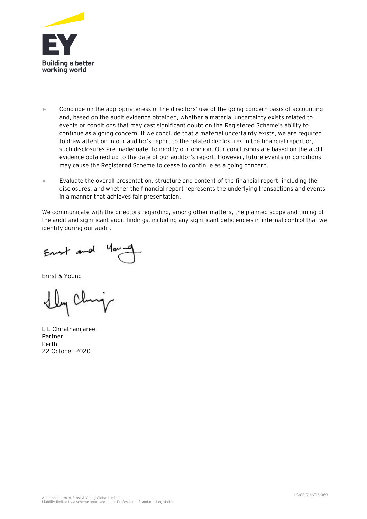

- ► Conclude on the appropriateness of the directors' use of the going concern basis of accounting and, based on the audit evidence obtained, whether a material uncertainty exists related to events or conditions that may cast significant doubt on the Registered Scheme's ability to continue as a going concern. If we conclude that a material uncertainty exists, we are required to draw attention in our auditor's report to the related disclosures in the financial report or, if such disclosures are inadequate, to modify our opinion. Our conclusions are based on the audit evidence obtained up to the date of our auditor's report. However, future events or conditions may cause the Registered Scheme to cease to continue as a going concern.
- ► Evaluate the overall presentation, structure and content of the financial report, including the disclosures, and whether the financial report represents the underlying transactions and events in a manner that achieves fair presentation.

We communicate with the directors regarding, among other matters, the planned scope and timing of the audit and significant audit findings, including any significant deficiencies in internal control that we identify during our audit.

Ent and

Ernst & Young

L L Chirathamjaree Partner Perth 22 October 2020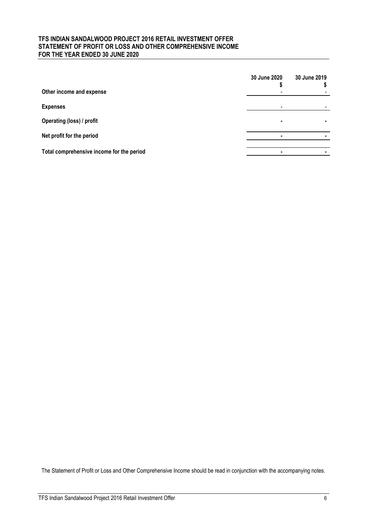## **TFS INDIAN SANDALWOOD PROJECT 2016 RETAIL INVESTMENT OFFER STATEMENT OF PROFIT OR LOSS AND OTHER COMPREHENSIVE INCOME FOR THE YEAR ENDED 30 JUNE 2020**

|                                           | 30 June 2020             | 30 June 2019 |
|-------------------------------------------|--------------------------|--------------|
| Other income and expense                  | $\overline{\phantom{0}}$ |              |
| <b>Expenses</b>                           | $\overline{\phantom{0}}$ |              |
| Operating (loss) / profit                 | ٠                        |              |
| Net profit for the period                 |                          |              |
| Total comprehensive income for the period |                          |              |

The Statement of Profit or Loss and Other Comprehensive Income should be read in conjunction with the accompanying notes.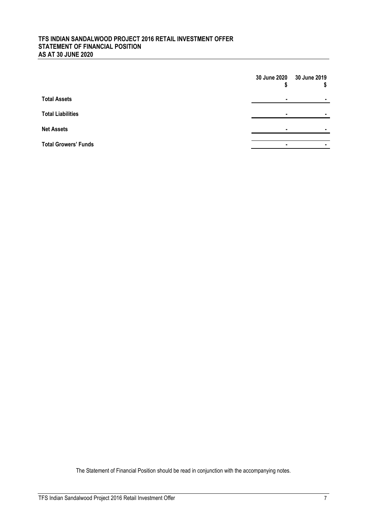## **TFS INDIAN SANDALWOOD PROJECT 2016 RETAIL INVESTMENT OFFER STATEMENT OF FINANCIAL POSITION AS AT 30 JUNE 2020**

|                             | 30 June 2020 30 June 2019 |  |
|-----------------------------|---------------------------|--|
| <b>Total Assets</b>         | ٠                         |  |
| <b>Total Liabilities</b>    | ۰                         |  |
| <b>Net Assets</b>           |                           |  |
| <b>Total Growers' Funds</b> |                           |  |

The Statement of Financial Position should be read in conjunction with the accompanying notes.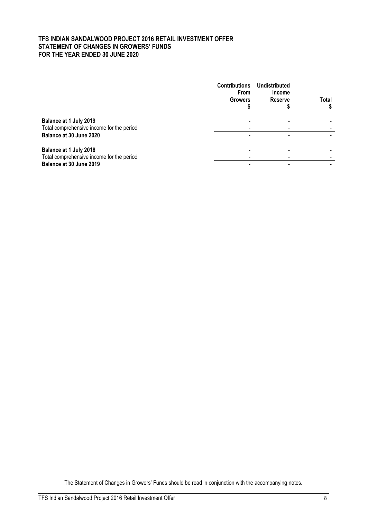## **TFS INDIAN SANDALWOOD PROJECT 2016 RETAIL INVESTMENT OFFER STATEMENT OF CHANGES IN GROWERS' FUNDS FOR THE YEAR ENDED 30 JUNE 2020**

|                                                                                                | <b>Contributions</b><br><b>From</b><br><b>Growers</b> | Undistributed<br><b>Income</b><br><b>Reserve</b> | Total |
|------------------------------------------------------------------------------------------------|-------------------------------------------------------|--------------------------------------------------|-------|
| Balance at 1 July 2019<br>Total comprehensive income for the period<br>Balance at 30 June 2020 |                                                       |                                                  |       |
|                                                                                                |                                                       |                                                  |       |
| Balance at 1 July 2018                                                                         |                                                       |                                                  |       |
| Total comprehensive income for the period                                                      |                                                       |                                                  |       |
| Balance at 30 June 2019                                                                        |                                                       |                                                  |       |

The Statement of Changes in Growers' Funds should be read in conjunction with the accompanying notes.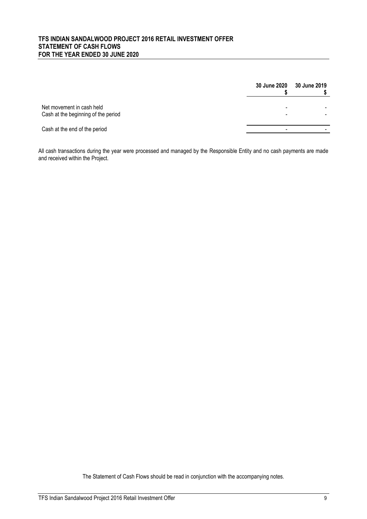## **TFS INDIAN SANDALWOOD PROJECT 2016 RETAIL INVESTMENT OFFER STATEMENT OF CASH FLOWS FOR THE YEAR ENDED 30 JUNE 2020**

|                                                                  | <b>30 June 2020</b> | 30 June 2019 |
|------------------------------------------------------------------|---------------------|--------------|
| Net movement in cash held<br>Cash at the beginning of the period | -<br>-              |              |
| Cash at the end of the period                                    | -                   |              |

All cash transactions during the year were processed and managed by the Responsible Entity and no cash payments are made and received within the Project.

The Statement of Cash Flows should be read in conjunction with the accompanying notes.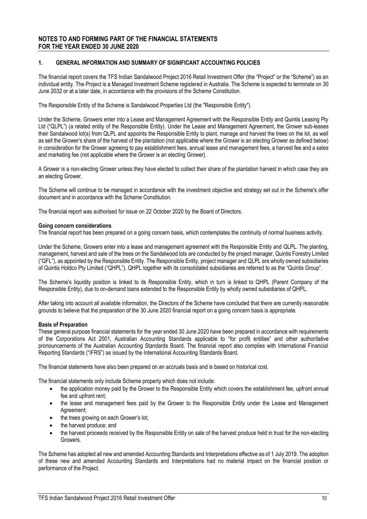#### **1. GENERAL INFORMATION AND SUMMARY OF SIGNIFICANT ACCOUNTING POLICIES**

The financial report covers the TFS Indian Sandalwood Project 2016 Retail Investment Offer (the "Project" or the "Scheme") as an individual entity. The Project is a Managed Investment Scheme registered in Australia. The Scheme is expected to terminate on 30 June 2032 or at a later date, in accordance with the provisions of the Scheme Constitution.

The Responsible Entity of the Scheme is Sandalwood Properties Ltd (the "Responsible Entity").

Under the Scheme, Growers enter into a Lease and Management Agreement with the Responsible Entity and Quintis Leasing Pty Ltd ("QLPL") (a related entity of the Responsible Entity). Under the Lease and Management Agreement, the Grower sub-leases their Sandalwood lot(s) from QLPL and appoints the Responsible Entity to plant, manage and harvest the trees on the lot, as well as sell the Grower's share of the harvest of the plantation (not applicable where the Grower is an electing Grower as defined below) in consideration for the Grower agreeing to pay establishment fees, annual lease and management fees, a harvest fee and a sales and marketing fee (not applicable where the Grower is an electing Grower).

A Grower is a non-electing Grower unless they have elected to collect their share of the plantation harvest in which case they are an electing Grower.

The Scheme will continue to be managed in accordance with the investment objective and strategy set out in the Scheme's offer document and in accordance with the Scheme Constitution.

The financial report was authorised for issue on 22 October 2020 by the Board of Directors.

#### **Going concern considerations**

The financial report has been prepared on a going concern basis, which contemplates the continuity of normal business activity.

Under the Scheme, Growers enter into a lease and management agreement with the Responsible Entity and QLPL. The planting, management, harvest and sale of the trees on the Sandalwood lots are conducted by the project manager, Quintis Forestry Limited ("QFL"), as appointed by the Responsible Entity. The Responsible Entity, project manager and QLPL are wholly owned subsidiaries of Quintis Holdco Pty Limited ("QHPL"). QHPL together with its consolidated subsidiaries are referred to as the "Quintis Group".

The Scheme's liquidity position is linked to its Responsible Entity, which in turn is linked to QHPL (Parent Company of the Responsible Entity), due to on-demand loans extended to the Responsible Entity by wholly owned subsidiaries of QHPL.

After taking into account all available information, the Directors of the Scheme have concluded that there are currently reasonable grounds to believe that the preparation of the 30 June 2020 financial report on a going concern basis is appropriate.

#### **Basis of Preparation**

These general purpose financial statements for the year ended 30 June 2020 have been prepared in accordance with requirements of the Corporations Act 2001, Australian Accounting Standards applicable to "for profit entities" and other authoritative pronouncements of the Australian Accounting Standards Board. The financial report also complies with International Financial Reporting Standards ("IFRS") as issued by the International Accounting Standards Board.

The financial statements have also been prepared on an accruals basis and is based on historical cost.

The financial statements only include Scheme property which does not include:

- the application money paid by the Grower to the Responsible Entity which covers the establishment fee, upfront annual fee and upfront rent;
- the lease and management fees paid by the Grower to the Responsible Entity under the Lease and Management Agreement;
- the trees growing on each Grower's lot;
- the harvest produce; and
- the harvest proceeds received by the Responsible Entity on sale of the harvest produce held in trust for the non-electing Growers.

The Scheme has adopted all new and amended Accounting Standards and Interpretations effective as of 1 July 2019. The adoption of these new and amended Accounting Standards and Interpretations had no material impact on the financial position or performance of the Project.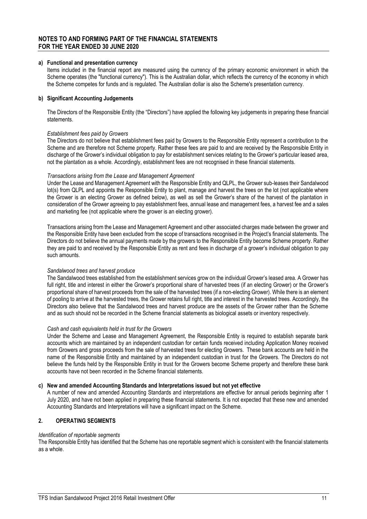#### **a) Functional and presentation currency**

Items included in the financial report are measured using the currency of the primary economic environment in which the Scheme operates (the "functional currency"). This is the Australian dollar, which reflects the currency of the economy in which the Scheme competes for funds and is regulated. The Australian dollar is also the Scheme's presentation currency.

#### **b) Significant Accounting Judgements**

The Directors of the Responsible Entity (the "Directors") have applied the following key judgements in preparing these financial statements.

#### *Establishment fees paid by Growers*

The Directors do not believe that establishment fees paid by Growers to the Responsible Entity represent a contribution to the Scheme and are therefore not Scheme property. Rather these fees are paid to and are received by the Responsible Entity in discharge of the Grower's individual obligation to pay for establishment services relating to the Grower's particular leased area, not the plantation as a whole. Accordingly, establishment fees are not recognised in these financial statements.

#### *Transactions arising from the Lease and Management Agreement*

Under the Lease and Management Agreement with the Responsible Entity and QLPL, the Grower sub-leases their Sandalwood lot(s) from QLPL and appoints the Responsible Entity to plant, manage and harvest the trees on the lot (not applicable where the Grower is an electing Grower as defined below), as well as sell the Grower's share of the harvest of the plantation in consideration of the Grower agreeing to pay establishment fees, annual lease and management fees, a harvest fee and a sales and marketing fee (not applicable where the grower is an electing grower).

Transactions arising from the Lease and Management Agreement and other associated charges made between the grower and the Responsible Entity have been excluded from the scope of transactions recognised in the Project's financial statements. The Directors do not believe the annual payments made by the growers to the Responsible Entity become Scheme property. Rather they are paid to and received by the Responsible Entity as rent and fees in discharge of a grower's individual obligation to pay such amounts.

#### *Sandalwood trees and harvest produce*

The Sandalwood trees established from the establishment services grow on the individual Grower's leased area. A Grower has full right, title and interest in either the Grower's proportional share of harvested trees (if an electing Grower) or the Grower's proportional share of harvest proceeds from the sale of the harvested trees (if a non-electing Grower). While there is an element of pooling to arrive at the harvested trees, the Grower retains full right, title and interest in the harvested trees. Accordingly, the Directors also believe that the Sandalwood trees and harvest produce are the assets of the Grower rather than the Scheme and as such should not be recorded in the Scheme financial statements as biological assets or inventory respectively.

#### *Cash and cash equivalents held in trust for the Growers*

Under the Scheme and Lease and Management Agreement, the Responsible Entity is required to establish separate bank accounts which are maintained by an independent custodian for certain funds received including Application Money received from Growers and gross proceeds from the sale of harvested trees for electing Growers. These bank accounts are held in the name of the Responsible Entity and maintained by an independent custodian in trust for the Growers. The Directors do not believe the funds held by the Responsible Entity in trust for the Growers become Scheme property and therefore these bank accounts have not been recorded in the Scheme financial statements.

#### **c) New and amended Accounting Standards and Interpretations issued but not yet effective**

A number of new and amended Accounting Standards and interpretations are effective for annual periods beginning after 1 July 2020, and have not been applied in preparing these financial statements. It is not expected that these new and amended Accounting Standards and Interpretations will have a significant impact on the Scheme.

#### **2. OPERATING SEGMENTS**

#### *Identification of reportable segments*

The Responsible Entity has identified that the Scheme has one reportable segment which is consistent with the financial statements as a whole.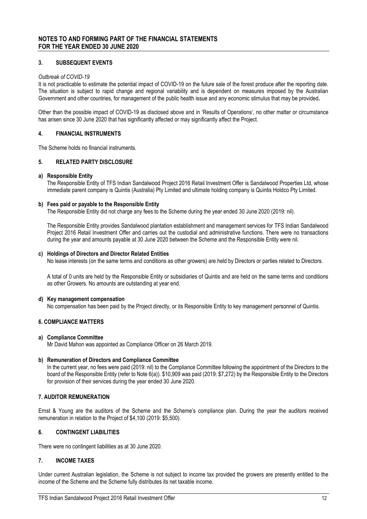#### **3. SUBSEQUENT EVENTS**

#### *Outbreak of COVID-19*

It is not practicable to estimate the potential impact of COVID-19 on the future sale of the forest produce after the reporting date. The situation is subject to rapid change and regional variability and is dependent on measures imposed by the Australian Government and other countries, for management of the public health issue and any economic stimulus that may be provided**.**

Other than the possible impact of COVID-19 as disclosed above and in 'Results of Operations', no other matter or circumstance has arisen since 30 June 2020 that has significantly affected or may significantly affect the Project.

#### **4. FINANCIAL INSTRUMENTS**

The Scheme holds no financial instruments.

#### **5. RELATED PARTY DISCLOSURE**

#### **a) Responsible Entity**

The Responsible Entity of TFS Indian Sandalwood Project 2016 Retail Investment Offer is Sandalwood Properties Ltd, whose immediate parent company is Quintis (Australia) Pty Limited and ultimate holding company is Quintis Holdco Pty Limited.

#### **b) Fees paid or payable to the Responsible Entity**

The Responsible Entity did not charge any fees to the Scheme during the year ended 30 June 2020 (2019: nil).

The Responsible Entity provides Sandalwood plantation establishment and management services for TFS Indian Sandalwood Project 2016 Retail Investment Offer and carries out the custodial and administrative functions. There were no transactions during the year and amounts payable at 30 June 2020 between the Scheme and the Responsible Entity were nil.

#### **c) Holdings of Directors and Director Related Entities**

No lease interests (on the same terms and conditions as other growers) are held by Directors or parties related to Directors.

A total of 0 units are held by the Responsible Entity or subsidiaries of Quintis and are held on the same terms and conditions as other Growers. No amounts are outstanding at year end.

#### **d) Key management compensation**

No compensation has been paid by the Project directly, or its Responsible Entity to key management personnel of Quintis.

### **6. COMPLIANCE MATTERS**

#### **a) Compliance Committee**

Mr David Mahon was appointed as Compliance Officer on 26 March 2019.

#### **b) Remuneration of Directors and Compliance Committee**

In the current year, no fees were paid (2019: nil) to the Compliance Committee following the appointment of the Directors to the board of the Responsible Entity (refer to Note 6(a)). \$10,909 was paid (2019: \$7,272) by the Responsible Entity to the Directors for provision of their services during the year ended 30 June 2020.

#### **7. AUDITOR REMUNERATION**

Ernst & Young are the auditors of the Scheme and the Scheme's compliance plan. During the year the auditors received remuneration in relation to the Project of \$4,100 (2019: \$5,500).

#### **6. CONTINGENT LIABILITIES**

There were no contingent liabilities as at 30 June 2020.

#### **7. INCOME TAXES**

Under current Australian legislation, the Scheme is not subject to income tax provided the growers are presently entitled to the income of the Scheme and the Scheme fully distributes its net taxable income.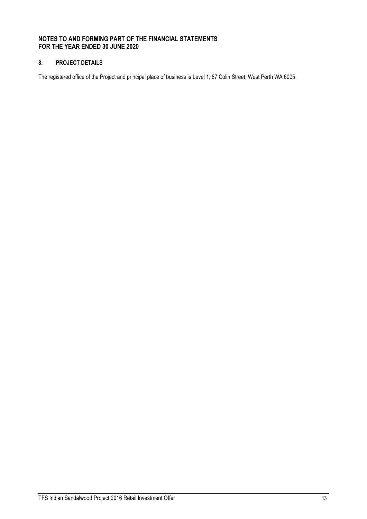## **8. PROJECT DETAILS**

The registered office of the Project and principal place of business is Level 1, 87 Colin Street, West Perth WA 6005.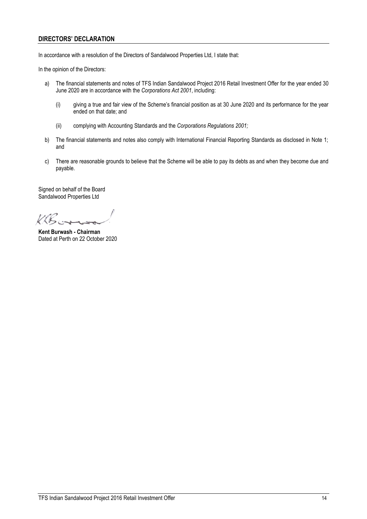## **DIRECTORS' DECLARATION**

In accordance with a resolution of the Directors of Sandalwood Properties Ltd, I state that:

In the opinion of the Directors:

- a) The financial statements and notes of TFS Indian Sandalwood Project 2016 Retail Investment Offer for the year ended 30 June 2020 are in accordance with the *Corporations Act 2001*, including:
	- (i) giving a true and fair view of the Scheme's financial position as at 30 June 2020 and its performance for the year ended on that date; and
	- (ii) complying with Accounting Standards and the *Corporations Regulations 2001;*
- b) The financial statements and notes also comply with International Financial Reporting Standards as disclosed in Note 1; and
- c) There are reasonable grounds to believe that the Scheme will be able to pay its debts as and when they become due and payable.

Signed on behalf of the Board Sandalwood Properties Ltd

KB.

**Kent Burwash - Chairman** Dated at Perth on 22 October 2020